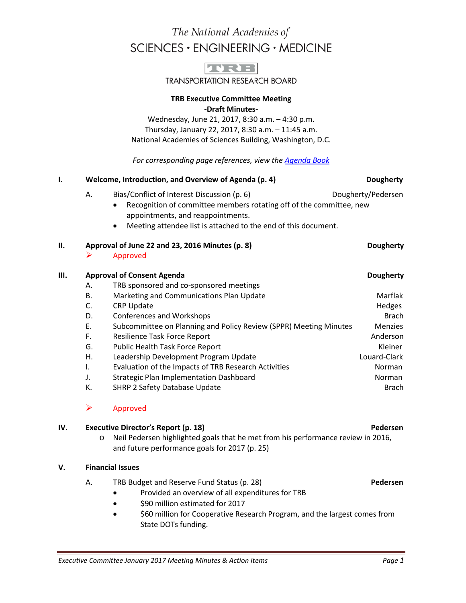# The National Academies of SCIENCES · ENGINEERING · MEDICINE



**TRANSPORTATION RESEARCH BOARD** 

### **TRB Executive Committee Meeting -Draft Minutes-**

Wednesday, June 21, 2017, 8:30 a.m. – 4:30 p.m. Thursday, January 22, 2017, 8:30 a.m. – 11:45 a.m. National Academies of Sciences Building, Washington, D.C.

*For corresponding page references, view the [Agenda Book](http://onlinepubs.trb.org/onlinepubs/excomm/17-06-AgendaBook.pdf)*

| Ι. |                                                                     | Welcome, Introduction, and Overview of Agenda (p. 4)                                                                                                                                                                                        | <b>Dougherty</b>   |
|----|---------------------------------------------------------------------|---------------------------------------------------------------------------------------------------------------------------------------------------------------------------------------------------------------------------------------------|--------------------|
|    | А.                                                                  | Bias/Conflict of Interest Discussion (p. 6)<br>Recognition of committee members rotating off of the committee, new<br>$\bullet$<br>appointments, and reappointments.<br>Meeting attendee list is attached to the end of this document.<br>٠ | Dougherty/Pedersen |
| Н. | Approval of June 22 and 23, 2016 Minutes (p. 8)<br><b>Dougherty</b> |                                                                                                                                                                                                                                             |                    |
|    | ➤                                                                   | Approved                                                                                                                                                                                                                                    |                    |
| Ш. | <b>Approval of Consent Agenda</b><br><b>Dougherty</b>               |                                                                                                                                                                                                                                             |                    |
|    | А.                                                                  | TRB sponsored and co-sponsored meetings                                                                                                                                                                                                     |                    |
|    | В.                                                                  | Marketing and Communications Plan Update                                                                                                                                                                                                    | Marflak            |
|    | C.                                                                  | <b>CRP Update</b>                                                                                                                                                                                                                           | Hedges             |
|    | D.                                                                  | <b>Conferences and Workshops</b>                                                                                                                                                                                                            | <b>Brach</b>       |
|    | Ε.                                                                  | Subcommittee on Planning and Policy Review (SPPR) Meeting Minutes                                                                                                                                                                           | <b>Menzies</b>     |
|    | F.                                                                  | <b>Resilience Task Force Report</b>                                                                                                                                                                                                         | Anderson           |
|    | G.                                                                  | Public Health Task Force Report                                                                                                                                                                                                             | <b>Kleiner</b>     |
|    | Η.                                                                  | Leadership Development Program Update                                                                                                                                                                                                       | Louard-Clark       |
|    | Ι.                                                                  | Evaluation of the Impacts of TRB Research Activities                                                                                                                                                                                        | Norman             |
|    | J.                                                                  | <b>Strategic Plan Implementation Dashboard</b>                                                                                                                                                                                              | Norman             |
|    | K.                                                                  | <b>SHRP 2 Safety Database Update</b>                                                                                                                                                                                                        | <b>Brach</b>       |

### $\triangleright$  Approved

### **IV. Executive Director's Report (p. 18) Pedersen**

o Neil Pedersen highlighted goals that he met from his performance review in 2016, and future performance goals for 2017 (p. 25)

### **V. Financial Issues**

### A. TRB Budget and Reserve Fund Status (p. 28) **Pedersen**

- Provided an overview of all expenditures for TRB
- \$90 million estimated for 2017
- \$60 million for Cooperative Research Program, and the largest comes from State DOTs funding.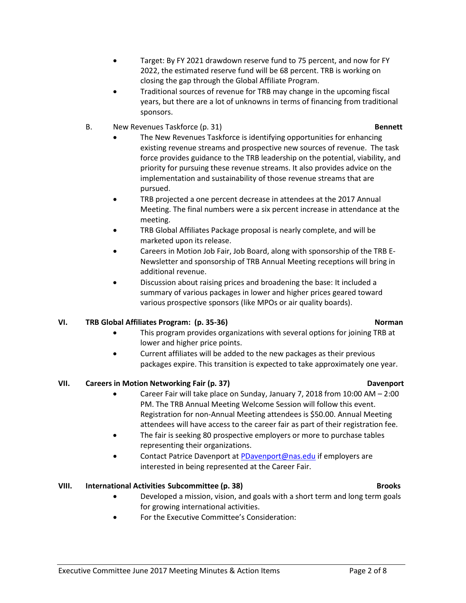- Target: By FY 2021 drawdown reserve fund to 75 percent, and now for FY 2022, the estimated reserve fund will be 68 percent. TRB is working on closing the gap through the Global Affiliate Program.
- Traditional sources of revenue for TRB may change in the upcoming fiscal years, but there are a lot of unknowns in terms of financing from traditional sponsors.
- B. New Revenues Taskforce (p. 31) **Bennett**
	- The New Revenues Taskforce is identifying opportunities for enhancing existing revenue streams and prospective new sources of revenue. The task force provides guidance to the TRB leadership on the potential, viability, and priority for pursuing these revenue streams. It also provides advice on the implementation and sustainability of those revenue streams that are pursued.
	- TRB projected a one percent decrease in attendees at the 2017 Annual Meeting. The final numbers were a six percent increase in attendance at the meeting.
	- TRB Global Affiliates Package proposal is nearly complete, and will be marketed upon its release.
	- Careers in Motion Job Fair, Job Board, along with sponsorship of the TRB E-Newsletter and sponsorship of TRB Annual Meeting receptions will bring in additional revenue.
	- Discussion about raising prices and broadening the base: It included a summary of various packages in lower and higher prices geared toward various prospective sponsors (like MPOs or air quality boards).

### **VI. TRB Global Affiliates Program: (p. 35-36)** Norman **Norman**

- This program provides organizations with several options for joining TRB at lower and higher price points.
- Current affiliates will be added to the new packages as their previous packages expire. This transition is expected to take approximately one year.

### **VII. Careers in Motion Networking Fair (p. 37) Davenport**

- Career Fair will take place on Sunday, January 7, 2018 from 10:00 AM 2:00 PM. The TRB Annual Meeting Welcome Session will follow this event. Registration for non-Annual Meeting attendees is \$50.00. Annual Meeting attendees will have access to the career fair as part of their registration fee.
- The fair is seeking 80 prospective employers or more to purchase tables representing their organizations.
- Contact Patrice Davenport a[t PDavenport@nas.edu](mailto:PDavenport@nas.edu) if employers are interested in being represented at the Career Fair.

### **VIII.** International Activities Subcommittee (p. 38) Brooks

- Developed a mission, vision, and goals with a short term and long term goals for growing international activities.
- For the Executive Committee's Consideration: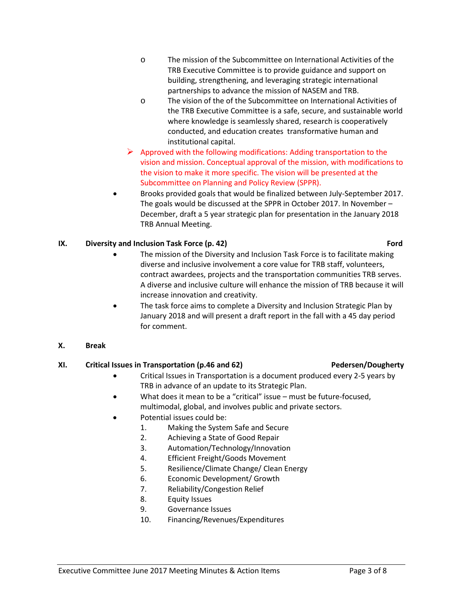- o The mission of the Subcommittee on International Activities of the TRB Executive Committee is to provide guidance and support on building, strengthening, and leveraging strategic international partnerships to advance the mission of NASEM and TRB.
- o The vision of the of the Subcommittee on International Activities of the TRB Executive Committee is a safe, secure, and sustainable world where knowledge is seamlessly shared, research is cooperatively conducted, and education creates transformative human and institutional capital.
- $\triangleright$  Approved with the following modifications: Adding transportation to the vision and mission. Conceptual approval of the mission, with modifications to the vision to make it more specific. The vision will be presented at the Subcommittee on Planning and Policy Review (SPPR).
- Brooks provided goals that would be finalized between July-September 2017. The goals would be discussed at the SPPR in October 2017. In November – December, draft a 5 year strategic plan for presentation in the January 2018 TRB Annual Meeting.

### **IX. Diversity and Inclusion Task Force (p. 42) Ford Ford**

- The mission of the Diversity and Inclusion Task Force is to facilitate making diverse and inclusive involvement a core value for TRB staff, volunteers, contract awardees, projects and the transportation communities TRB serves. A diverse and inclusive culture will enhance the mission of TRB because it will increase innovation and creativity.
- The task force aims to complete a Diversity and Inclusion Strategic Plan by January 2018 and will present a draft report in the fall with a 45 day period for comment.

### **X. Break**

### **XI. Critical Issues in Transportation (p.46 and 62) Pedersen/Dougherty**

- Critical Issues in Transportation is a document produced every 2-5 years by TRB in advance of an update to its Strategic Plan.
- What does it mean to be a "critical" issue must be future-focused, multimodal, global, and involves public and private sectors.
- Potential issues could be:
	- 1. Making the System Safe and Secure
	- 2. Achieving a State of Good Repair
	- 3. Automation/Technology/Innovation
	- 4. Efficient Freight/Goods Movement
	- 5. Resilience/Climate Change/ Clean Energy
	- 6. Economic Development/ Growth
	- 7. Reliability/Congestion Relief
	- 8. Equity Issues
	- 9. Governance Issues
	- 10. Financing/Revenues/Expenditures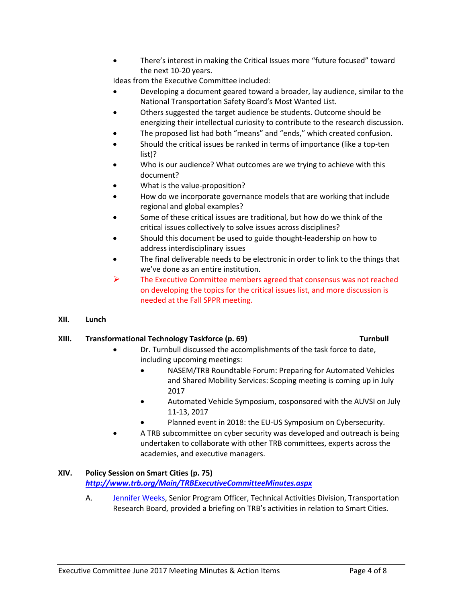Executive Committee June 2017 Meeting Minutes & Action Items Page 4 of 8

• There's interest in making the Critical Issues more "future focused" toward the next 10-20 years.

Ideas from the Executive Committee included:

- Developing a document geared toward a broader, lay audience, similar to the National Transportation Safety Board's Most Wanted List.
- Others suggested the target audience be students. Outcome should be energizing their intellectual curiosity to contribute to the research discussion.
- The proposed list had both "means" and "ends," which created confusion.
- Should the critical issues be ranked in terms of importance (like a top-ten list)?
- Who is our audience? What outcomes are we trying to achieve with this document?
- What is the value-proposition?
- How do we incorporate governance models that are working that include regional and global examples?
- Some of these critical issues are traditional, but how do we think of the critical issues collectively to solve issues across disciplines?
- Should this document be used to guide thought-leadership on how to address interdisciplinary issues
- The final deliverable needs to be electronic in order to link to the things that we've done as an entire institution.
- The Executive Committee members agreed that consensus was not reached on developing the topics for the critical issues list, and more discussion is needed at the Fall SPPR meeting.
- **XII. Lunch**

### **XIII. Transformational Technology Taskforce (p. 69)** Turnbull

- Dr. Turnbull discussed the accomplishments of the task force to date, including upcoming meetings:
	- NASEM/TRB Roundtable Forum: Preparing for Automated Vehicles and Shared Mobility Services: Scoping meeting is coming up in July 2017
	- Automated Vehicle Symposium, cosponsored with the AUVSI on July 11-13, 2017
	- Planned event in 2018: the EU-US Symposium on Cybersecurity.
- A TRB subcommittee on cyber security was developed and outreach is being undertaken to collaborate with other TRB committees, experts across the academies, and executive managers.

### **XIV. Policy Session on Smart Cities (p. 75)**

*<http://www.trb.org/Main/TRBExecutiveCommitteeMinutes.aspx>*

A. [Jennifer Weeks,](http://onlinepubs.trb.org/onlinepubs/excomm/17-06-Weeks.pdf) Senior Program Officer, Technical Activities Division, Transportation Research Board, provided a briefing on TRB's activities in relation to Smart Cities.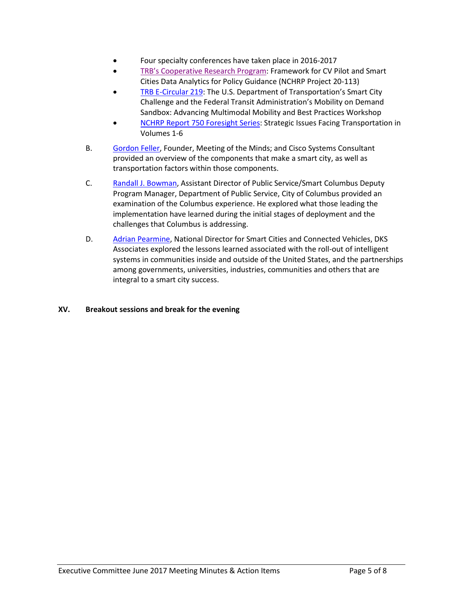- Four specialty conferences have taken place in 2016-2017
- [TRB's Cooperative Research Program:](http://apps.trb.org/cmsfeed/TRBNetProjectDisplay.asp?ProjectID=4363) Framework for CV Pilot and Smart Cities Data Analytics for Policy Guidance (NCHRP Project 20-113)
- [TRB E-Circular 219:](http://www.trb.org/Main/Blurbs/175826.aspx) The U.S. Department of Transportation's Smart City Challenge and the Federal Transit Administration's Mobility on Demand Sandbox: Advancing Multimodal Mobility and Best Practices Workshop
- NCHRP [Report 750 Foresight Series:](http://www.trb.org/NCHRP750/ForesightReport750Series.aspx) Strategic Issues Facing Transportation in Volumes 1-6
- B. [Gordon Feller,](http://onlinepubs.trb.org/onlinepubs/excomm/17-06-Feller.pdf) Founder, Meeting of the Minds; and Cisco Systems Consultant provided an overview of the components that make a smart city, as well as transportation factors within those components.
- C. [Randall J. Bowman,](http://onlinepubs.trb.org/onlinepubs/excomm/17-06-Bowman.pdf) Assistant Director of Public Service/Smart Columbus Deputy Program Manager, Department of Public Service, City of Columbus provided an examination of the Columbus experience. He explored what those leading the implementation have learned during the initial stages of deployment and the challenges that Columbus is addressing.
- D. [Adrian Pearmine,](http://onlinepubs.trb.org/onlinepubs/excomm/17-06-Pearmine.pdf) National Director for Smart Cities and Connected Vehicles, DKS Associates explored the lessons learned associated with the roll-out of intelligent systems in communities inside and outside of the United States, and the partnerships among governments, universities, industries, communities and others that are integral to a smart city success.

### **XV. Breakout sessions and break for the evening**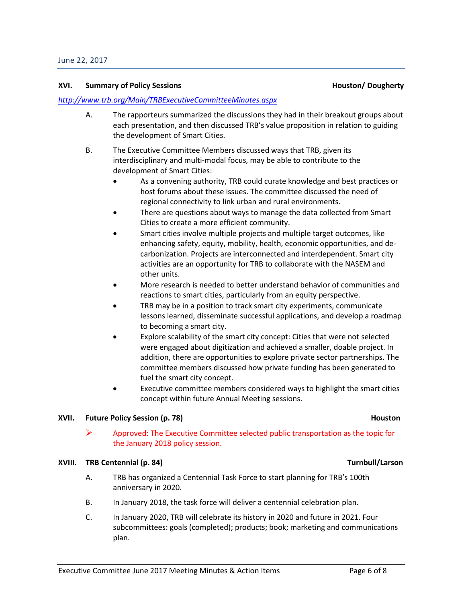### **XVI.** Summary of Policy Sessions **Accord 2018 12:30 Service 2018** Houston/ Dougherty

### *<http://www.trb.org/Main/TRBExecutiveCommitteeMinutes.aspx>*

- A. The rapporteurs summarized the discussions they had in their breakout groups about each presentation, and then discussed TRB's value proposition in relation to guiding the development of Smart Cities.
- B. The Executive Committee Members discussed ways that TRB, given its interdisciplinary and multi-modal focus, may be able to contribute to the development of Smart Cities:
	- As a convening authority, TRB could curate knowledge and best practices or host forums about these issues. The committee discussed the need of regional connectivity to link urban and rural environments.
	- There are questions about ways to manage the data collected from Smart Cities to create a more efficient community.
	- Smart cities involve multiple projects and multiple target outcomes, like enhancing safety, equity, mobility, health, economic opportunities, and decarbonization. Projects are interconnected and interdependent. Smart city activities are an opportunity for TRB to collaborate with the NASEM and other units.
	- More research is needed to better understand behavior of communities and reactions to smart cities, particularly from an equity perspective.
	- TRB may be in a position to track smart city experiments, communicate lessons learned, disseminate successful applications, and develop a roadmap to becoming a smart city.
	- Explore scalability of the smart city concept: Cities that were not selected were engaged about digitization and achieved a smaller, doable project. In addition, there are opportunities to explore private sector partnerships. The committee members discussed how private funding has been generated to fuel the smart city concept.
	- Executive committee members considered ways to highlight the smart cities concept within future Annual Meeting sessions.

### **XVII. Future Policy Session (p. 78) Houston Houston**

 $\triangleright$  Approved: The Executive Committee selected public transportation as the topic for the January 2018 policy session.

### **XVIII. TRB Centennial (p. 84)** Turnbull/Larson

- A. TRB has organized a Centennial Task Force to start planning for TRB's 100th anniversary in 2020.
- B. In January 2018, the task force will deliver a centennial celebration plan.
- C. In January 2020, TRB will celebrate its history in 2020 and future in 2021. Four subcommittees: goals (completed); products; book; marketing and communications plan.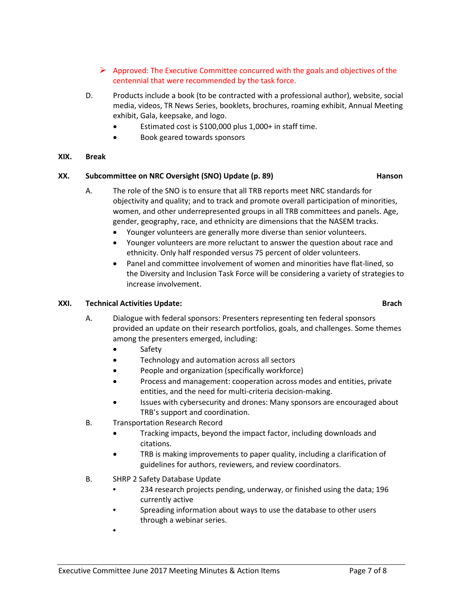- $\triangleright$  Approved: The Executive Committee concurred with the goals and objectives of the centennial that were recommended by the task force.
- D. Products include a book (to be contracted with a professional author), website, social media, videos, TR News Series, booklets, brochures, roaming exhibit, Annual Meeting exhibit, Gala, keepsake, and logo.
	- Estimated cost is \$100,000 plus 1,000+ in staff time.
	- Book geared towards sponsors

### **XIX. Break**

### **XX.** Subcommittee on NRC Oversight (SNO) Update (p. 89) **Hanson**

- A. The role of the SNO is to ensure that all TRB reports meet NRC standards for objectivity and quality; and to track and promote overall participation of minorities, women, and other underrepresented groups in all TRB committees and panels. Age, gender, geography, race, and ethnicity are dimensions that the NASEM tracks.
	- Younger volunteers are generally more diverse than senior volunteers.
	- Younger volunteers are more reluctant to answer the question about race and ethnicity. Only half responded versus 75 percent of older volunteers.
	- Panel and committee involvement of women and minorities have flat-lined, so the Diversity and Inclusion Task Force will be considering a variety of strategies to increase involvement.

### **XXI. Technical Activities Update: Brach**

- A. Dialogue with federal sponsors: Presenters representing ten federal sponsors provided an update on their research portfolios, goals, and challenges. Some themes among the presenters emerged, including:
	- Safety
	- Technology and automation across all sectors
	- People and organization (specifically workforce)
	- Process and management: cooperation across modes and entities, private entities, and the need for multi-criteria decision-making.
	- Issues with cybersecurity and drones: Many sponsors are encouraged about TRB's support and coordination.
- B. Transportation Research Record
	- Tracking impacts, beyond the impact factor, including downloads and citations.
	- TRB is making improvements to paper quality, including a clarification of guidelines for authors, reviewers, and review coordinators.
- B. SHRP 2 Safety Database Update
	- 234 research projects pending, underway, or finished using the data; 196 currently active
	- Spreading information about ways to use the database to other users through a webinar series.
	- •